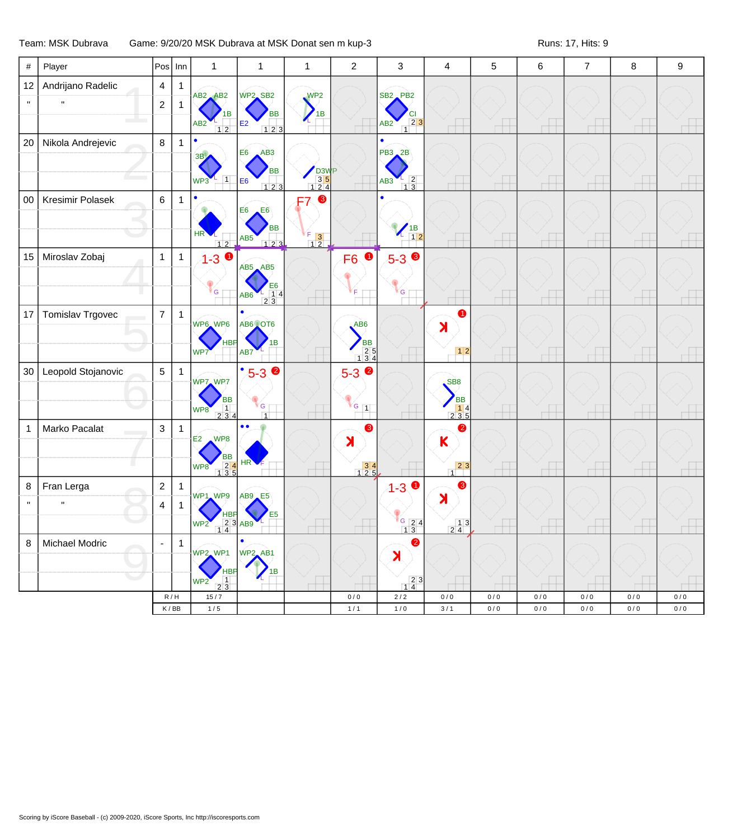## Team: MSK Dubrava Game: 9/20/20 MSK Dubrava at MSK Donat sen m kup-3 Runs: 17, Hits: 9

| #            | Player                  | Pos                      | Inn          | $\mathbf{1}$                                                                         | $\mathbf{1}$                                           | $\mathbf{1}$                                                              | $\overline{c}$                                                               | 3                                                                   | 4                                                                           | 5          | $\,6$      | $\overline{7}$ | $\bf 8$    | 9            |
|--------------|-------------------------|--------------------------|--------------|--------------------------------------------------------------------------------------|--------------------------------------------------------|---------------------------------------------------------------------------|------------------------------------------------------------------------------|---------------------------------------------------------------------|-----------------------------------------------------------------------------|------------|------------|----------------|------------|--------------|
| 12           | Andrijano Radelic       | $\overline{4}$           | 1            |                                                                                      |                                                        |                                                                           |                                                                              |                                                                     |                                                                             |            |            |                |            |              |
|              |                         | $\overline{2}$           | $\mathbf{1}$ | AB <sub>2</sub> AB <sub>2</sub>                                                      | WP2 SB <sub>2</sub>                                    | WP <sub>2</sub>                                                           |                                                                              | SB <sub>2</sub> PB <sub>2</sub>                                     |                                                                             |            |            |                |            |              |
|              |                         |                          |              | AB <sub>2</sub><br>$12$                                                              | <b>BB</b><br>E2<br>123                                 | 1B                                                                        |                                                                              | $\begin{array}{c c} & 2 & 3 \\ 1 & 2 & 3 \end{array}$<br>AB2        |                                                                             |            |            |                |            |              |
| 20           | Nikola Andrejevic       | $\bf 8$                  | $\mathbf{1}$ |                                                                                      |                                                        |                                                                           |                                                                              |                                                                     |                                                                             |            |            |                |            |              |
|              |                         |                          |              | 3B,                                                                                  | AB3<br>E <sub>6</sub>                                  |                                                                           |                                                                              | PB3 2B                                                              |                                                                             |            |            |                |            |              |
|              |                         |                          |              | $\overline{\mathbf{1}}$<br>$WP3$ <sup>L</sup>                                        | <b>BB</b><br>E <sub>6</sub><br>123                     | D <sub>3</sub> W <sub>P</sub><br>$\begin{array}{c} 35 \\ 124 \end{array}$ |                                                                              | $\frac{1}{1}$ $\frac{2}{3}$<br>AB3                                  |                                                                             |            |            |                |            |              |
| $00\,$       | Kresimir Polasek        | $\,6$                    | $\mathbf{1}$ |                                                                                      |                                                        | ❸<br>F7                                                                   |                                                                              |                                                                     |                                                                             |            |            |                |            |              |
|              |                         |                          |              |                                                                                      | E6<br>E <sub>6</sub>                                   |                                                                           |                                                                              |                                                                     |                                                                             |            |            |                |            |              |
|              |                         |                          |              | HR                                                                                   | <b>BB</b><br>AB5                                       | Œ.<br>$\begin{array}{c} 5 \ \ 1 \ \ 2 \end{array}$                        |                                                                              | $\begin{array}{c} \n 1B \\  \hline\n 12\n \end{array}$<br>∕∟        |                                                                             |            |            |                |            |              |
| 15           | Miroslav Zobaj          | $\mathbf{1}$             | $\mathbf{1}$ | $12$<br>$1 - 3$                                                                      |                                                        |                                                                           | $\bullet$<br>F <sub>6</sub>                                                  | $5 - 3$                                                             |                                                                             |            |            |                |            |              |
|              |                         |                          |              |                                                                                      | $AB5$ $AB5$                                            |                                                                           |                                                                              |                                                                     |                                                                             |            |            |                |            |              |
|              |                         |                          |              | <b>G</b>                                                                             | Е6<br>$\frac{1}{2}$ $\frac{1}{3}$ 4<br>AB <sub>6</sub> |                                                                           |                                                                              | <sup>r</sup> G                                                      |                                                                             |            |            |                |            |              |
| 17           | <b>Tomislav Trgovec</b> | $\overline{7}$           | $\mathbf{1}$ |                                                                                      |                                                        |                                                                           |                                                                              |                                                                     | 0                                                                           |            |            |                |            |              |
|              |                         |                          |              | WP6 WP6                                                                              | AB6 OT6                                                |                                                                           | AB6                                                                          |                                                                     | $\lambda$                                                                   |            |            |                |            |              |
|              |                         |                          |              | WP7                                                                                  | AB7                                                    |                                                                           | <b>BB</b>                                                                    |                                                                     | $\boxed{1 2}$                                                               |            |            |                |            |              |
| 30           | Leopold Stojanovic      | $\overline{5}$           | $\mathbf{1}$ |                                                                                      | $^{\bullet}5-3$ 2                                      |                                                                           | $\begin{array}{c} 25 \\ 134 \end{array}$                                     |                                                                     |                                                                             |            |            |                |            |              |
|              |                         |                          |              | WP7_WP7                                                                              |                                                        |                                                                           | $5 - 3$                                                                      |                                                                     | SB <sub>8</sub>                                                             |            |            |                |            |              |
|              |                         |                          |              | <b>BB</b>                                                                            | $\mathsf{G}$                                           |                                                                           | $G$ $1$                                                                      |                                                                     | <b>BB</b>                                                                   |            |            |                |            |              |
|              |                         |                          |              | $\begin{array}{ c c c }\n\hline\n1 & 3 & 4 \\ \hline\n2 & 3 & 4\n\end{array}$<br>WP8 | $\overline{1}$<br>$\bullet$<br>$\bullet$               |                                                                           |                                                                              |                                                                     | $\begin{array}{ c c c }\n\hline\n& 1 & 4 \\ \hline\n2 & 3 & 5\n\end{array}$ |            |            |                |            |              |
| $\mathbf{1}$ | Marko Pacalat           | $\sqrt{3}$               | $\mathbf{1}$ | $E2$ WP8                                                                             |                                                        |                                                                           | ❸<br>K                                                                       |                                                                     | ❷<br>$\mathsf K$                                                            |            |            |                |            |              |
|              |                         |                          |              | ВB                                                                                   | HR                                                     |                                                                           |                                                                              |                                                                     |                                                                             |            |            |                |            |              |
|              |                         |                          |              | $\begin{array}{r} 24 \\ 135 \end{array}$<br>WP8                                      |                                                        |                                                                           | $\begin{array}{ c c }\n \hline\n 3 & 4 \\  \hline\n 1 & 2 & 5\n \end{array}$ |                                                                     | $\begin{array}{c c} & 2 & 3 \\ 1 & 1 & 1 \end{array}$                       |            |            |                |            |              |
| 8            | Fran Lerga              | $\boldsymbol{2}$         | $\mathbf{1}$ | WP1 WP9 AB9 E5                                                                       |                                                        |                                                                           |                                                                              | $4 - 3$                                                             | ❸<br>$\lambda$                                                              |            |            |                |            |              |
|              | $\mathbf{u}$            | 4                        | $\mathbf{1}$ | <b>HBP</b>                                                                           | E <sub>5</sub>                                         |                                                                           |                                                                              |                                                                     |                                                                             |            |            |                |            |              |
|              |                         |                          |              | WP2 23 AB9                                                                           |                                                        |                                                                           |                                                                              | $\begin{array}{ c c }\n\hline\n & 24 \\ \hline\n & 13\n\end{array}$ | $\frac{13}{24}$                                                             |            |            |                |            |              |
| 8            | Michael Modric          | $\overline{\phantom{a}}$ | $\mathbf{1}$ | WP2_WP1                                                                              | $\bullet$<br>WP2_AB1                                   |                                                                           |                                                                              | $\bullet$                                                           |                                                                             |            |            |                |            |              |
|              |                         |                          |              | <b>HBF</b>                                                                           |                                                        |                                                                           |                                                                              | X                                                                   |                                                                             |            |            |                |            |              |
|              |                         |                          |              | $\overline{1}$<br>WP <sub>2</sub><br>23                                              |                                                        |                                                                           |                                                                              | $\begin{array}{ c c }\n 2 & 3 \\  \hline\n 1 & 4\n \end{array}$     |                                                                             |            |            |                |            |              |
|              |                         |                          | R/H<br>K/BB  | $15/7$<br>$1/5$                                                                      |                                                        |                                                                           | 0/0<br>$1/1$                                                                 | $2/2$<br>$1/0$                                                      | 0/0<br>3/1                                                                  | 0/0<br>0/0 | 0/0<br>0/0 | 0/0<br>0/0     | 0/0<br>0/0 | 0/0<br>$0/0$ |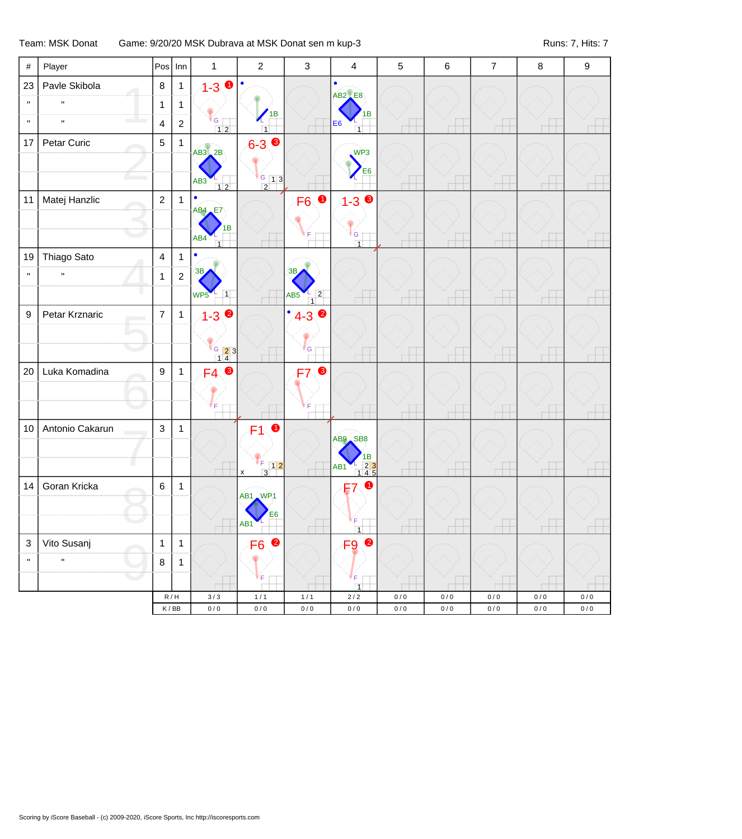## Team: MSK Donat Game: 9/20/20 MSK Dubrava at MSK Donat sen m kup-3 Runs: 7, Hits: 7 Runs: 7, Hits: 7

| $\#$                      | Player             | Pos                                  | $  \mathsf{Inn}$ | $\mathbf{1}$                       | $\overline{2}$                              | $\mathsf 3$                             | $\overline{4}$                                                                             | 5                      | $\,6\,$                | $\overline{7}$   | 8                  | 9                      |
|---------------------------|--------------------|--------------------------------------|------------------|------------------------------------|---------------------------------------------|-----------------------------------------|--------------------------------------------------------------------------------------------|------------------------|------------------------|------------------|--------------------|------------------------|
| 23                        | Pavle Skibola      | $\bf 8$                              | $\mathbf{1}$     | $1 - 3$ 0                          | $\bullet$                                   |                                         | $\bullet$<br>$AB2$ <sub><math>E8</math></sub>                                              |                        |                        |                  |                    |                        |
| $\mathbf{H}$              | $\mathbf{u}$       | $\mathbf{1}$                         | $\mathbf{1}$     |                                    |                                             |                                         |                                                                                            |                        |                        |                  |                    |                        |
| $\mathbf{u}$              | $\mathbf{u}$       | $\overline{4}$                       | $\overline{2}$   | <sup>V</sup> G T<br>$12$           | 1B<br>$\overline{1}$                        |                                         | 1B<br>E <sub>6</sub><br>$\overline{1}$                                                     |                        |                        |                  |                    |                        |
| 17                        | Petar Curic        | 5                                    | $\mathbf{1}$     | $AB3$ $2B$                         | $6 - 3$ $\bullet$                           |                                         | WP <sub>3</sub>                                                                            |                        |                        |                  |                    |                        |
|                           |                    |                                      |                  | AB <sub>3</sub>                    | $G$ 13                                      |                                         | E <sub>6</sub>                                                                             |                        |                        |                  |                    |                        |
| 11                        | Matej Hanzlic      | $\overline{2}$                       | $\mathbf{1}$     | $12$<br>$\bullet$<br><b>AB4</b> E7 | $\overline{2}$                              | $\bullet$<br>F <sub>6</sub>             | $1 - 30$                                                                                   |                        |                        |                  |                    |                        |
|                           |                    |                                      |                  | 1В<br>AB4                          |                                             |                                         | G                                                                                          |                        |                        |                  |                    |                        |
| 19                        | Thiago Sato        | $\overline{4}$                       | $\mathbf{1}$     | $\overline{1}$<br>$\bullet$        |                                             |                                         | $\overline{1}$                                                                             |                        |                        |                  |                    |                        |
| $\mathbf{u}$              | $\bar{\mathbf{u}}$ | $\mathbf{1}$                         | $\sqrt{2}$       | 3B                                 |                                             | 3B                                      |                                                                                            |                        |                        |                  |                    |                        |
|                           |                    |                                      |                  | $\overline{1}$<br>WP5              |                                             | $\overline{2}$<br>AB5<br>$\overline{1}$ |                                                                                            |                        |                        |                  |                    |                        |
| $\boldsymbol{9}$          | Petar Krznaric     | $\overline{7}$                       | $\mathbf{1}$     | $1 - 3$ $\bullet$                  |                                             | $4 - 3$ $\bullet$<br>$\bullet$          |                                                                                            |                        |                        |                  |                    |                        |
|                           |                    |                                      |                  |                                    |                                             | G                                       |                                                                                            |                        |                        |                  |                    |                        |
| 20                        | Luka Komadina      | 9                                    | $\mathbf{1}$     | $\frac{6}{14}$ 3<br>$F4$ $\odot$   |                                             | $\bullet$<br>F7                         |                                                                                            |                        |                        |                  |                    |                        |
|                           |                    |                                      |                  |                                    |                                             |                                         |                                                                                            |                        |                        |                  |                    |                        |
|                           |                    |                                      |                  | Е                                  |                                             |                                         |                                                                                            |                        |                        |                  |                    |                        |
| 10                        | Antonio Cakarun    | $\mathbf{3}$                         | $\mathbf{1}$     |                                    | $\bullet$<br>F1                             |                                         |                                                                                            |                        |                        |                  |                    |                        |
|                           |                    |                                      |                  |                                    |                                             |                                         | AB9 SB8                                                                                    |                        |                        |                  |                    |                        |
|                           |                    |                                      |                  |                                    | ΥF.<br>$\boxed{1 2}$<br>$\overline{3}$<br>x |                                         | 1B<br>$\begin{array}{r} 2 \overline{)3} \\ \overline{)145} \end{array}$<br>AB <sub>1</sub> |                        |                        |                  |                    |                        |
| 14                        | Goran Kricka       | $\,6\,$                              | $\mathbf{1}$     |                                    | AB1 WP1                                     |                                         | $\bullet$<br>F7                                                                            |                        |                        |                  |                    |                        |
|                           |                    |                                      |                  |                                    | E <sub>6</sub>                              |                                         |                                                                                            |                        |                        |                  |                    |                        |
|                           |                    |                                      |                  |                                    | AB <sub>1</sub>                             |                                         | F                                                                                          |                        |                        |                  |                    |                        |
| $\ensuremath{\mathsf{3}}$ | Vito Susanj        | $\mathbf{1}$                         | $\mathbf{1}$     |                                    | F6 <sup>2</sup>                             |                                         | F <sub>9</sub> <sup>o</sup>                                                                |                        |                        |                  |                    |                        |
| $\mathbf{H}$              | $\mathbf{u}$       | $\bf 8$                              | $\mathbf{1}$     |                                    |                                             |                                         |                                                                                            |                        |                        |                  |                    |                        |
|                           |                    |                                      |                  |                                    | F                                           |                                         | F<br>$\overline{1}$                                                                        |                        |                        |                  |                    |                        |
|                           |                    | $\mathsf K\,/\,\mathsf{B}\mathsf{B}$ | R/H              | 3/3<br>$0\,/\,0$                   | $1/1$<br>$0\,/\,0$                          | $1/1$<br>$0\,/\,0$                      | $2/2$<br>$0\,/\,0$                                                                         | $0\,/\,0$<br>$0\,/\,0$ | $0\,/\,0$<br>$0\,/\,0$ | 0/0<br>$0\,/\,0$ | $0/0$<br>$0\,/\,0$ | $0\,/\,0$<br>$0\,/\,0$ |